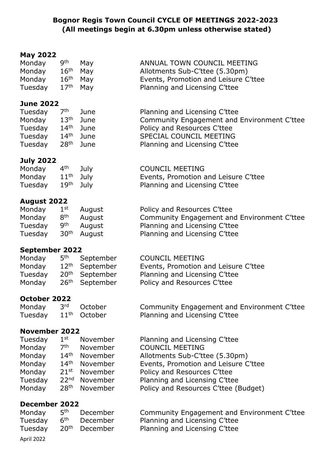#### **Bognor Regis Town Council CYCLE OF MEETINGS 2022-2023 (All meetings begin at 6.30pm unless otherwise stated)**

# **May 2022**

| Monday  | <b>gth</b>           | May | ANNUAL TOWN COUNCIL MEETING          |
|---------|----------------------|-----|--------------------------------------|
| Monday  | $16th$ Mav           |     | Allotments Sub-C'ttee (5.30pm)       |
| Monday  | $16th$ Mav           |     | Events, Promotion and Leisure C'ttee |
| Tuesday | 17 <sup>th</sup> May |     | Planning and Licensing C'ttee        |

#### **June 2022**

| Tuesday | 7th              | June        | Planning and Licensing C'ttee               |
|---------|------------------|-------------|---------------------------------------------|
| Monday  | $13^{\sf th}$    | June        | Community Engagement and Environment C'ttee |
| Tuesday |                  | $14th$ June | Policy and Resources C'ttee                 |
| Tuesday | $14^{\sf th}$    | June        | SPECIAL COUNCIL MEETING                     |
| Tuesday | $28^\mathsf{th}$ | June        | Planning and Licensing C'ttee               |

#### **July 2022**

| Monday 4 <sup>th</sup>        | July <b>July</b> | <b>COUNCIL MEETING</b>               |
|-------------------------------|------------------|--------------------------------------|
| Monday 11 <sup>th</sup> July  |                  | Events, Promotion and Leisure C'ttee |
| Tuesday 19 <sup>th</sup> July |                  | Planning and Licensing C'ttee        |

#### **August 2022**

| Monday  | $1^{\rm st}$    | August                  | Policy and Resources C'ttee                 |
|---------|-----------------|-------------------------|---------------------------------------------|
| Monday  | 8 <sup>th</sup> | August                  | Community Engagement and Environment C'ttee |
| Tuesday | <b>gth</b>      | August                  | Planning and Licensing C'ttee               |
| Tuesday |                 | 30 <sup>th</sup> August | Planning and Licensing C'ttee               |

#### **September 2022**

| Monday  | 5 <sup>th</sup> September  | <b>COUNCIL MEETING</b>               |
|---------|----------------------------|--------------------------------------|
| Monday  | 12 <sup>th</sup> September | Events, Promotion and Leisure C'ttee |
| Tuesday | 20 <sup>th</sup> September | Planning and Licensing C'ttee        |
| Monday  | 26 <sup>th</sup> September | Policy and Resources C'ttee          |

#### **October 2022**

| Monday                           | 3 <sup>rd</sup> October | Community Engagement and Environment C'ttee |
|----------------------------------|-------------------------|---------------------------------------------|
| Tuesday 11 <sup>th</sup> October |                         | Planning and Licensing C'ttee               |

#### **November 2022**

| $1^{\rm st}$<br>Tuesday    | November                  | Planning and Licensing C'ttee        |
|----------------------------|---------------------------|--------------------------------------|
| 7 <sup>th</sup><br>Monday  | November                  | <b>COUNCIL MEETING</b>               |
| $14^{\text{th}}$<br>Monday | November                  | Allotments Sub-C'ttee (5.30pm)       |
| Monday<br>$14^{\sf th}$    | November                  | Events, Promotion and Leisure C'ttee |
| Monday                     | 21 <sup>st</sup> November | Policy and Resources C'ttee          |
| Tuesday                    | 22 <sup>nd</sup> November | Planning and Licensing C'ttee        |
| Monday                     | 28 <sup>th</sup> November | Policy and Resources C'ttee (Budget) |

#### **December 2022**

| Monday     | 5 <sup>th</sup>  | December |
|------------|------------------|----------|
| Tuesday    | 6 <sup>th</sup>  | December |
| Tuesday    | 20 <sup>th</sup> | December |
| April 2022 |                  |          |

Community Engagement and Environment C'ttee Planning and Licensing C'ttee Planning and Licensing C'ttee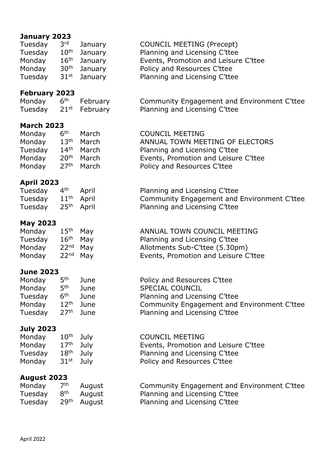### **January 2023**

| Jaliual y ZUZJ       |                    |          |                                             |
|----------------------|--------------------|----------|---------------------------------------------|
| Tuesday              | 3 <sup>rd</sup>    | January  | <b>COUNCIL MEETING (Precept)</b>            |
| Tuesday              | 10 <sup>th</sup>   | January  | Planning and Licensing C'ttee               |
| Monday               | $16^{\text{th}}$   | January  | Events, Promotion and Leisure C'ttee        |
| Monday               | 30 <sup>th</sup>   | January  | Policy and Resources C'ttee                 |
| Tuesday              | $31$ <sup>st</sup> | January  | Planning and Licensing C'ttee               |
|                      |                    |          |                                             |
| <b>February 2023</b> |                    |          |                                             |
| Monday               | 6 <sup>th</sup>    | February | Community Engagement and Environment C'ttee |
| Tuesday              | $21^{st}$          | February | Planning and Licensing C'ttee               |
| <b>March 2023</b>    |                    |          |                                             |
| Monday               | 6 <sup>th</sup>    | March    | <b>COUNCIL MEETING</b>                      |
| Monday               | $13^{\sf th}$      | March    | ANNUAL TOWN MEETING OF ELECTORS             |
| Tuesday              | $14^{\sf th}$      | March    | Planning and Licensing C'ttee               |
| Monday               | 20 <sup>th</sup>   | March    | Events, Promotion and Leisure C'ttee        |
| Monday               | 27 <sup>th</sup>   | March    | Policy and Resources C'ttee                 |
|                      |                    |          |                                             |
| <b>April 2023</b>    |                    |          |                                             |
| Tuesday              | 4 <sup>th</sup>    | April    | Planning and Licensing C'ttee               |
| Tuesday              | $11^{\text{th}}$   | April    | Community Engagement and Environment C'ttee |
| Tuesday              | 25 <sup>th</sup>   | April    | Planning and Licensing C'ttee               |
| <b>May 2023</b>      |                    |          |                                             |
| Monday               | 15 <sup>th</sup>   | May      | ANNUAL TOWN COUNCIL MEETING                 |
| Tuesday              | $16^{\sf th}$      | May      | Planning and Licensing C'ttee               |
| Monday               | 22 <sup>nd</sup>   | May      | Allotments Sub-C'ttee (5.30pm)              |
| Monday               | 22 <sup>nd</sup>   | May      | Events, Promotion and Leisure C'ttee        |
|                      |                    |          |                                             |
| <b>June 2023</b>     |                    |          |                                             |
| Monday               | 5 <sup>th</sup>    | June     | Policy and Resources C'ttee                 |
| Monday               | 5 <sup>th</sup>    | June     | <b>SPECIAL COUNCIL</b>                      |
| Tuesday              | 6 <sup>th</sup>    | June     | Planning and Licensing C'ttee               |
| Monday               | 12 <sup>th</sup>   | June     | Community Engagement and Environment C'ttee |
| Tuesday              | 27 <sup>th</sup>   | June     | Planning and Licensing C'ttee               |
|                      |                    |          |                                             |
| <b>July 2023</b>     | $10^{\text{th}}$   |          | <b>COUNCIL MEETING</b>                      |
| Monday               | 17 <sup>th</sup>   | July     |                                             |
| Monday               |                    | July     | Events, Promotion and Leisure C'ttee        |
| Tuesday              | 18 <sup>th</sup>   | July     | Planning and Licensing C'ttee               |

#### **August 2023**

| Monday                  | 7 <sup>th</sup> | August                  | Community Engagement and Environment C'ttee |
|-------------------------|-----------------|-------------------------|---------------------------------------------|
| Tuesday 8 <sup>th</sup> |                 | August                  | Planning and Licensing C'ttee               |
| Tuesday                 |                 | 29 <sup>th</sup> August | Planning and Licensing C'ttee               |

Monday 31<sup>st</sup> July **Policy and Resources C'ttee**